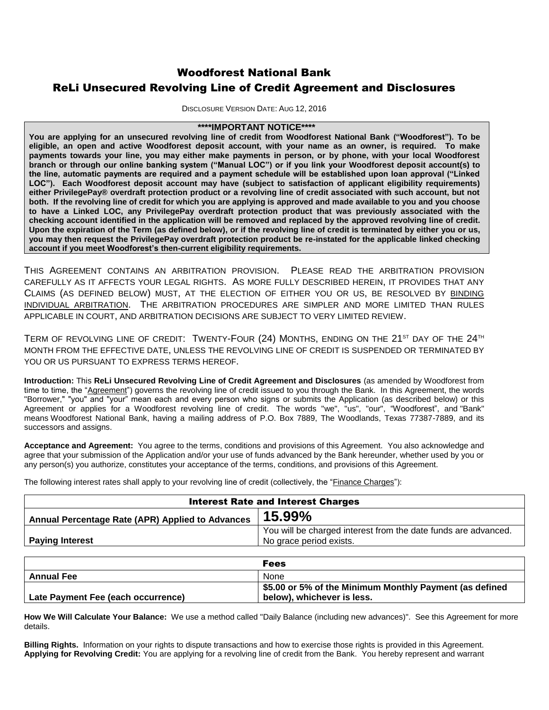# Woodforest National Bank ReLi Unsecured Revolving Line of Credit Agreement and Disclosures

DISCLOSURE VERSION DATE: AUG 12, 2016

## **\*\*\*\*IMPORTANT NOTICE\*\*\*\***

**You are applying for an unsecured revolving line of credit from Woodforest National Bank ("Woodforest"). To be eligible, an open and active Woodforest deposit account, with your name as an owner, is required. To make payments towards your line, you may either make payments in person, or by phone, with your local Woodforest branch or through our online banking system ("Manual LOC") or if you link your Woodforest deposit account(s) to the line, automatic payments are required and a payment schedule will be established upon loan approval ("Linked LOC"). Each Woodforest deposit account may have (subject to satisfaction of applicant eligibility requirements) either PrivilegePay® overdraft protection product or a revolving line of credit associated with such account, but not both. If the revolving line of credit for which you are applying is approved and made available to you and you choose to have a Linked LOC, any PrivilegePay overdraft protection product that was previously associated with the checking account identified in the application will be removed and replaced by the approved revolving line of credit. Upon the expiration of the Term (as defined below), or if the revolving line of credit is terminated by either you or us, you may then request the PrivilegePay overdraft protection product be re-instated for the applicable linked checking account if you meet Woodforest's then-current eligibility requirements.**

THIS AGREEMENT CONTAINS AN ARBITRATION PROVISION. PLEASE READ THE ARBITRATION PROVISION CAREFULLY AS IT AFFECTS YOUR LEGAL RIGHTS. AS MORE FULLY DESCRIBED HEREIN, IT PROVIDES THAT ANY CLAIMS (AS DEFINED BELOW) MUST, AT THE ELECTION OF EITHER YOU OR US, BE RESOLVED BY BINDING INDIVIDUAL ARBITRATION. THE ARBITRATION PROCEDURES ARE SIMPLER AND MORE LIMITED THAN RULES APPLICABLE IN COURT, AND ARBITRATION DECISIONS ARE SUBJECT TO VERY LIMITED REVIEW.

TERM OF REVOLVING LINE OF CREDIT: TWENTY-FOUR (24) MONTHS, ENDING ON THE 21<sup>st</sup> DAY OF THE 24<sup>TH</sup> MONTH FROM THE EFFECTIVE DATE, UNLESS THE REVOLVING LINE OF CREDIT IS SUSPENDED OR TERMINATED BY YOU OR US PURSUANT TO EXPRESS TERMS HEREOF.

**Introduction:** This **ReLi Unsecured Revolving Line of Credit Agreement and Disclosures** (as amended by Woodforest from time to time, the "Agreement") governs the revolving line of credit issued to you through the Bank. In this Agreement, the words "Borrower," "you" and "your" mean each and every person who signs or submits the Application (as described below) or this Agreement or applies for a Woodforest revolving line of credit. The words "we", "us", "our", "Woodforest", and "Bank" means Woodforest National Bank, having a mailing address of P.O. Box 7889, The Woodlands, Texas 77387-7889, and its successors and assigns.

**Acceptance and Agreement:** You agree to the terms, conditions and provisions of this Agreement. You also acknowledge and agree that your submission of the Application and/or your use of funds advanced by the Bank hereunder, whether used by you or any person(s) you authorize, constitutes your acceptance of the terms, conditions, and provisions of this Agreement.

The following interest rates shall apply to your revolving line of credit (collectively, the "Finance Charges"):

| <b>Interest Rate and Interest Charges</b>        |                                                                |  |
|--------------------------------------------------|----------------------------------------------------------------|--|
| Annual Percentage Rate (APR) Applied to Advances | 15.99%                                                         |  |
|                                                  | You will be charged interest from the date funds are advanced. |  |
| <b>Paying Interest</b>                           | No grace period exists.                                        |  |

|                                    | <b>Fees</b>                                             |
|------------------------------------|---------------------------------------------------------|
| <b>Annual Fee</b>                  | None                                                    |
|                                    | \$5.00 or 5% of the Minimum Monthly Payment (as defined |
| Late Payment Fee (each occurrence) | below), whichever is less.                              |

**How We Will Calculate Your Balance:** We use a method called "Daily Balance (including new advances)". See this Agreement for more details.

**Billing Rights.** Information on your rights to dispute transactions and how to exercise those rights is provided in this Agreement. **Applying for Revolving Credit:** You are applying for a revolving line of credit from the Bank. You hereby represent and warrant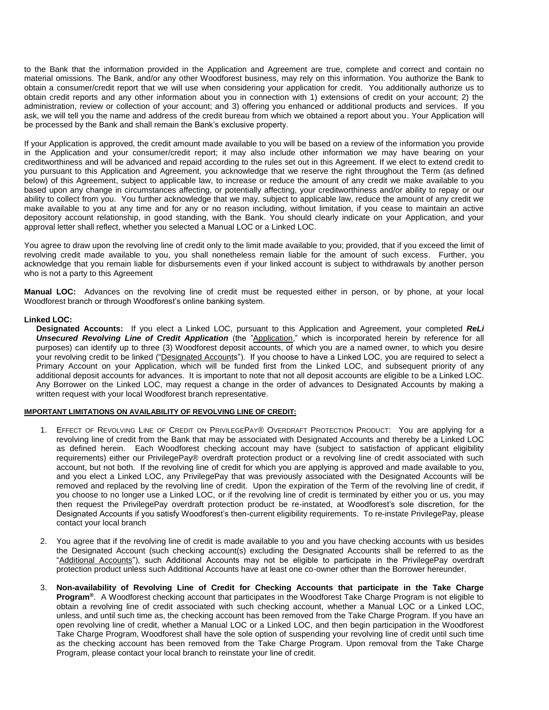to the Bank that the information provided in the Application and Agreement are true, complete and correct and contain no material omissions. The Bank, and/or any other Woodforest business, may rely on this information. You authorize the Bank to obtain a consumer/credit report that we will use when considering your application for credit. You additionally authorize us to obtain credit reports and any other information about you in connection with 1) extensions of credit on your account; 2) the administration, review or collection of your account; and 3) offering you enhanced or additional products and services. If you ask, we will tell you the name and address of the credit bureau from which we obtained a report about you. Your Application will be processed by the Bank and shall remain the Bank's exclusive property.

If your Application is approved, the credit amount made available to you will be based on a review of the information you provide in the Application and your consumer/credit report; it may also include other information we may have bearing on your creditworthiness and will be advanced and repaid according to the rules set out in this Agreement. If we elect to extend credit to you pursuant to this Application and Agreement, you acknowledge that we reserve the right throughout the Term (as defined below) of this Agreement, subject to applicable law, to increase or reduce the amount of any credit we make available to you based upon any change in circumstances affecting, or potentially affecting, your creditworthiness and/or ability to repay or our ability to collect from you. You further acknowledge that we may, subject to applicable law, reduce the amount of any credit we make available to you at any time and for any or no reason including, without limitation, if you cease to maintain an active depository account relationship, in good standing, with the Bank. You should clearly indicate on your Application, and your approval letter shall reflect, whether you selected a Manual LOC or a Linked LOC.

You agree to draw upon the revolving line of credit only to the limit made available to you; provided, that if you exceed the limit of revolving credit made available to you, you shall nonetheless remain liable for the amount of such excess. Further, you acknowledge that you remain liable for disbursements even if your linked account is subject to withdrawals by another person who is not a party to this Agreement

**Manual LOC:** Advances on the revolving line of credit must be requested either in person, or by phone, at your local Woodforest branch or through Woodforest's online banking system.

#### **Linked LOC:**

**Designated Accounts:** If you elect a Linked LOC, pursuant to this Application and Agreement, your completed *ReLi Unsecured Revolving Line of Credit Application* (the "Application," which is incorporated herein by reference for all purposes) can identify up to three (3) Woodforest deposit accounts, of which you are a named owner, to which you desire your revolving credit to be linked ("Designated Accounts"). If you choose to have a Linked LOC, you are required to select a Primary Account on your Application, which will be funded first from the Linked LOC, and subsequent priority of any additional deposit accounts for advances. It is important to note that not all deposit accounts are eligible to be a Linked LOC. Any Borrower on the Linked LOC, may request a change in the order of advances to Designated Accounts by making a written request with your local Woodforest branch representative.

#### **IMPORTANT LIMITATIONS ON AVAILABILITY OF REVOLVING LINE OF CREDIT:**

- 1. EFFECT OF REVOLVING LINE OF CREDIT ON PRIVILEGEPAY® OVERDRAFT PROTECTION PRODUCT: You are applying for a revolving line of credit from the Bank that may be associated with Designated Accounts and thereby be a Linked LOC as defined herein. Each Woodforest checking account may have (subject to satisfaction of applicant eligibility requirements) either our PrivilegePay® overdraft protection product or a revolving line of credit associated with such account, but not both. If the revolving line of credit for which you are applying is approved and made available to you, and you elect a Linked LOC, any PrivilegePay that was previously associated with the Designated Accounts will be removed and replaced by the revolving line of credit. Upon the expiration of the Term of the revolving line of credit, if you choose to no longer use a Linked LOC, or if the revolving line of credit is terminated by either you or us, you may then request the PrivilegePay overdraft protection product be re-instated, at Woodforest's sole discretion, for the Designated Accounts if you satisfy Woodforest's then-current eligibility requirements. To re-instate PrivilegePay, please contact your local branch
- 2. You agree that if the revolving line of credit is made available to you and you have checking accounts with us besides the Designated Account (such checking account(s) excluding the Designated Accounts shall be referred to as the "Additional Accounts"), such Additional Accounts may not be eligible to participate in the PrivilegePay overdraft protection product unless such Additional Accounts have at least one co-owner other than the Borrower hereunder.
- 3. **Non-availability of Revolving Line of Credit for Checking Accounts that participate in the Take Charge Program®**. A Woodforest checking account that participates in the Woodforest Take Charge Program is not eligible to obtain a revolving line of credit associated with such checking account, whether a Manual LOC or a Linked LOC, unless, and until such time as, the checking account has been removed from the Take Charge Program. If you have an open revolving line of credit, whether a Manual LOC or a Linked LOC, and then begin participation in the Woodforest Take Charge Program, Woodforest shall have the sole option of suspending your revolving line of credit until such time as the checking account has been removed from the Take Charge Program. Upon removal from the Take Charge Program, please contact your local branch to reinstate your line of credit.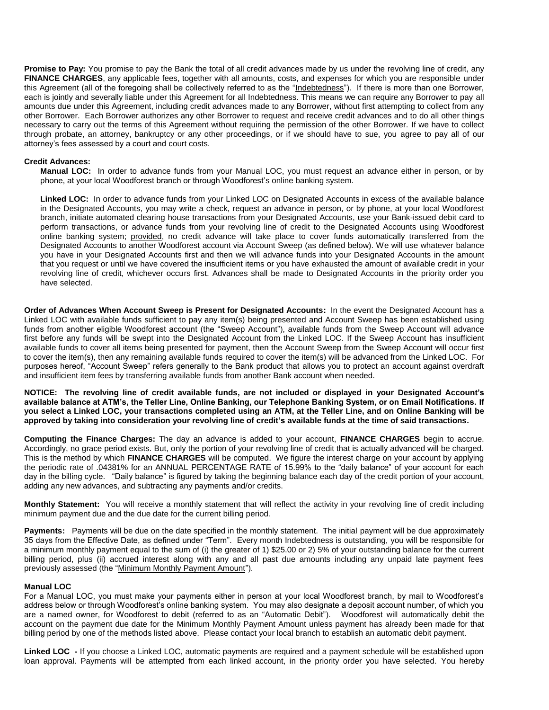**Promise to Pay:** You promise to pay the Bank the total of all credit advances made by us under the revolving line of credit, any FINANCE CHARGES, any applicable fees, together with all amounts, costs, and expenses for which you are responsible under this Agreement (all of the foregoing shall be collectively referred to as the "Indebtedness"). If there is more than one Borrower, each is jointly and severally liable under this Agreement for all Indebtedness. This means we can require any Borrower to pay all amounts due under this Agreement, including credit advances made to any Borrower, without first attempting to collect from any other Borrower. Each Borrower authorizes any other Borrower to request and receive credit advances and to do all other things necessary to carry out the terms of this Agreement without requiring the permission of the other Borrower. If we have to collect through probate, an attorney, bankruptcy or any other proceedings, or if we should have to sue, you agree to pay all of our attorney's fees assessed by a court and court costs.

## **Credit Advances:**

**Manual LOC:** In order to advance funds from your Manual LOC, you must request an advance either in person, or by phone, at your local Woodforest branch or through Woodforest's online banking system.

**Linked LOC:** In order to advance funds from your Linked LOC on Designated Accounts in excess of the available balance in the Designated Accounts, you may write a check, request an advance in person, or by phone, at your local Woodforest branch, initiate automated clearing house transactions from your Designated Accounts, use your Bank-issued debit card to perform transactions, or advance funds from your revolving line of credit to the Designated Accounts using Woodforest online banking system; provided, no credit advance will take place to cover funds automatically transferred from the Designated Accounts to another Woodforest account via Account Sweep (as defined below). We will use whatever balance you have in your Designated Accounts first and then we will advance funds into your Designated Accounts in the amount that you request or until we have covered the insufficient items or you have exhausted the amount of available credit in your revolving line of credit, whichever occurs first. Advances shall be made to Designated Accounts in the priority order you have selected.

**Order of Advances When Account Sweep is Present for Designated Accounts:** In the event the Designated Account has a Linked LOC with available funds sufficient to pay any item(s) being presented and Account Sweep has been established using funds from another eligible Woodforest account (the "Sweep Account"), available funds from the Sweep Account will advance first before any funds will be swept into the Designated Account from the Linked LOC. If the Sweep Account has insufficient available funds to cover all items being presented for payment, then the Account Sweep from the Sweep Account will occur first to cover the item(s), then any remaining available funds required to cover the item(s) will be advanced from the Linked LOC. For purposes hereof, "Account Sweep" refers generally to the Bank product that allows you to protect an account against overdraft and insufficient item fees by transferring available funds from another Bank account when needed.

**NOTICE: The revolving line of credit available funds, are not included or displayed in your Designated Account's available balance at ATM's, the Teller Line, Online Banking, our Telephone Banking System, or on Email Notifications. If you select a Linked LOC, your transactions completed using an ATM, at the Teller Line, and on Online Banking will be approved by taking into consideration your revolving line of credit's available funds at the time of said transactions.**

**Computing the Finance Charges:** The day an advance is added to your account, **FINANCE CHARGES** begin to accrue. Accordingly, no grace period exists. But, only the portion of your revolving line of credit that is actually advanced will be charged. This is the method by which **FINANCE CHARGES** will be computed. We figure the interest charge on your account by applying the periodic rate of .04381% for an ANNUAL PERCENTAGE RATE of 15.99% to the "daily balance" of your account for each day in the billing cycle. "Daily balance" is figured by taking the beginning balance each day of the credit portion of your account, adding any new advances, and subtracting any payments and/or credits.

**Monthly Statement:** You will receive a monthly statement that will reflect the activity in your revolving line of credit including minimum payment due and the due date for the current billing period.

Payments: Payments will be due on the date specified in the monthly statement. The initial payment will be due approximately 35 days from the Effective Date, as defined under "Term". Every month Indebtedness is outstanding, you will be responsible for a minimum monthly payment equal to the sum of (i) the greater of 1) \$25.00 or 2) 5% of your outstanding balance for the current billing period, plus (ii) accrued interest along with any and all past due amounts including any unpaid late payment fees previously assessed (the "Minimum Monthly Payment Amount").

#### **Manual LOC**

For a Manual LOC, you must make your payments either in person at your local Woodforest branch, by mail to Woodforest's address below or through Woodforest's online banking system. You may also designate a deposit account number, of which you are a named owner, for Woodforest to debit (referred to as an "Automatic Debit"). Woodforest will automatically debit the account on the payment due date for the Minimum Monthly Payment Amount unless payment has already been made for that billing period by one of the methods listed above. Please contact your local branch to establish an automatic debit payment.

**Linked LOC -** If you choose a Linked LOC, automatic payments are required and a payment schedule will be established upon loan approval. Payments will be attempted from each linked account, in the priority order you have selected. You hereby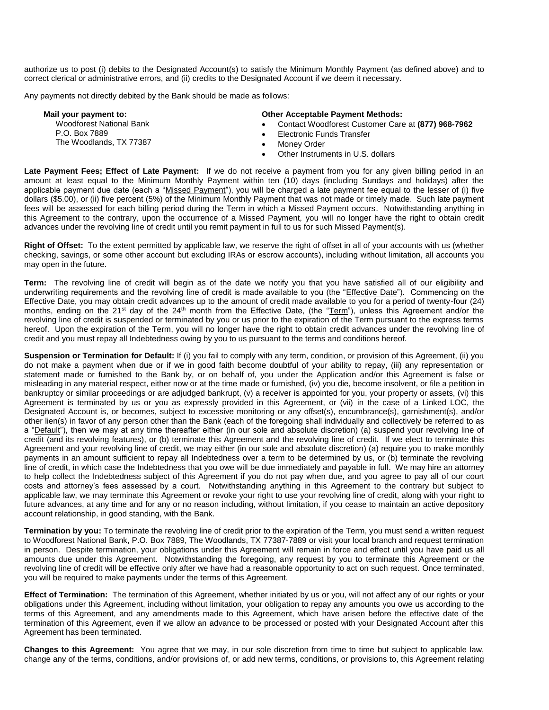authorize us to post (i) debits to the Designated Account(s) to satisfy the Minimum Monthly Payment (as defined above) and to correct clerical or administrative errors, and (ii) credits to the Designated Account if we deem it necessary.

Any payments not directly debited by the Bank should be made as follows:

| Mail your payment to:                                                       | <b>Other Acceptable Payment Methods:</b>           |
|-----------------------------------------------------------------------------|----------------------------------------------------|
| <b>Woodforest National Bank</b><br>P.O. Box 7889<br>The Woodlands, TX 77387 | Contact Woodforest Customer Care at (877) 968-7962 |
|                                                                             | Electronic Funds Transfer                          |
|                                                                             | Money Order                                        |
|                                                                             | Other Instruments in U.S. dollars                  |

**Late Payment Fees; Effect of Late Payment:** If we do not receive a payment from you for any given billing period in an amount at least equal to the Minimum Monthly Payment within ten (10) days (including Sundays and holidays) after the applicable payment due date (each a "Missed Payment"), you will be charged a late payment fee equal to the lesser of (i) five dollars (\$5.00), or (ii) five percent (5%) of the Minimum Monthly Payment that was not made or timely made. Such late payment fees will be assessed for each billing period during the Term in which a Missed Payment occurs. Notwithstanding anything in this Agreement to the contrary, upon the occurrence of a Missed Payment, you will no longer have the right to obtain credit advances under the revolving line of credit until you remit payment in full to us for such Missed Payment(s).

**Right of Offset:** To the extent permitted by applicable law, we reserve the right of offset in all of your accounts with us (whether checking, savings, or some other account but excluding IRAs or escrow accounts), including without limitation, all accounts you may open in the future.

**Term:** The revolving line of credit will begin as of the date we notify you that you have satisfied all of our eligibility and underwriting requirements and the revolving line of credit is made available to you (the "Effective Date"). Commencing on the Effective Date, you may obtain credit advances up to the amount of credit made available to you for a period of twenty-four (24) months, ending on the 21<sup>st</sup> day of the 24<sup>th</sup> month from the Effective Date, (the "Term"), unless this Agreement and/or the revolving line of credit is suspended or terminated by you or us prior to the expiration of the Term pursuant to the express terms hereof. Upon the expiration of the Term, you will no longer have the right to obtain credit advances under the revolving line of credit and you must repay all Indebtedness owing by you to us pursuant to the terms and conditions hereof.

**Suspension or Termination for Default:** If (i) you fail to comply with any term, condition, or provision of this Agreement, (ii) you do not make a payment when due or if we in good faith become doubtful of your ability to repay, (iii) any representation or statement made or furnished to the Bank by, or on behalf of, you under the Application and/or this Agreement is false or misleading in any material respect, either now or at the time made or furnished, (iv) you die, become insolvent, or file a petition in bankruptcy or similar proceedings or are adjudged bankrupt, (v) a receiver is appointed for you, your property or assets, (vi) this Agreement is terminated by us or you as expressly provided in this Agreement, or (vii) in the case of a Linked LOC, the Designated Account is, or becomes, subject to excessive monitoring or any offset(s), encumbrance(s), garnishment(s), and/or other lien(s) in favor of any person other than the Bank (each of the foregoing shall individually and collectively be referred to as a "Default"), then we may at any time thereafter either (in our sole and absolute discretion) (a) suspend your revolving line of credit (and its revolving features), or (b) terminate this Agreement and the revolving line of credit. If we elect to terminate this Agreement and your revolving line of credit, we may either (in our sole and absolute discretion) (a) require you to make monthly payments in an amount sufficient to repay all Indebtedness over a term to be determined by us, or (b) terminate the revolving line of credit, in which case the Indebtedness that you owe will be due immediately and payable in full. We may hire an attorney to help collect the Indebtedness subject of this Agreement if you do not pay when due, and you agree to pay all of our court costs and attorney's fees assessed by a court. Notwithstanding anything in this Agreement to the contrary but subject to applicable law, we may terminate this Agreement or revoke your right to use your revolving line of credit, along with your right to future advances, at any time and for any or no reason including, without limitation, if you cease to maintain an active depository account relationship, in good standing, with the Bank.

**Termination by you:** To terminate the revolving line of credit prior to the expiration of the Term, you must send a written request to Woodforest National Bank, P.O. Box 7889, The Woodlands, TX 77387-7889 or visit your local branch and request termination in person. Despite termination, your obligations under this Agreement will remain in force and effect until you have paid us all amounts due under this Agreement. Notwithstanding the foregoing, any request by you to terminate this Agreement or the revolving line of credit will be effective only after we have had a reasonable opportunity to act on such request. Once terminated, you will be required to make payments under the terms of this Agreement.

**Effect of Termination:** The termination of this Agreement, whether initiated by us or you, will not affect any of our rights or your obligations under this Agreement, including without limitation, your obligation to repay any amounts you owe us according to the terms of this Agreement, and any amendments made to this Agreement, which have arisen before the effective date of the termination of this Agreement, even if we allow an advance to be processed or posted with your Designated Account after this Agreement has been terminated.

**Changes to this Agreement:** You agree that we may, in our sole discretion from time to time but subject to applicable law, change any of the terms, conditions, and/or provisions of, or add new terms, conditions, or provisions to, this Agreement relating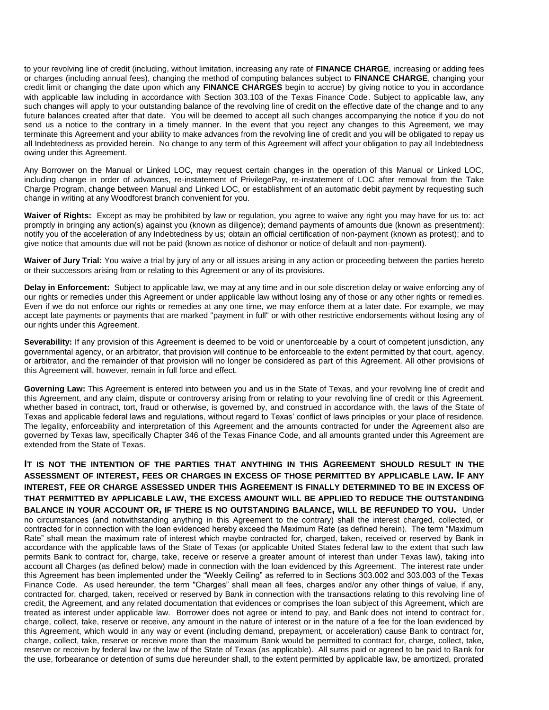to your revolving line of credit (including, without limitation, increasing any rate of **FINANCE CHARGE**, increasing or adding fees or charges (including annual fees), changing the method of computing balances subject to **FINANCE CHARGE**, changing your credit limit or changing the date upon which any **FINANCE CHARGES** begin to accrue) by giving notice to you in accordance with applicable law including in accordance with Section 303.103 of the Texas Finance Code. Subject to applicable law, any such changes will apply to your outstanding balance of the revolving line of credit on the effective date of the change and to any future balances created after that date. You will be deemed to accept all such changes accompanying the notice if you do not send us a notice to the contrary in a timely manner. In the event that you reject any changes to this Agreement, we may terminate this Agreement and your ability to make advances from the revolving line of credit and you will be obligated to repay us all Indebtedness as provided herein. No change to any term of this Agreement will affect your obligation to pay all Indebtedness owing under this Agreement.

Any Borrower on the Manual or Linked LOC, may request certain changes in the operation of this Manual or Linked LOC, including change in order of advances, re-instatement of PrivilegePay, re-instatement of LOC after removal from the Take Charge Program, change between Manual and Linked LOC, or establishment of an automatic debit payment by requesting such change in writing at any Woodforest branch convenient for you.

**Waiver of Rights:** Except as may be prohibited by law or regulation, you agree to waive any right you may have for us to: act promptly in bringing any action(s) against you (known as diligence); demand payments of amounts due (known as presentment); notify you of the acceleration of any Indebtedness by us; obtain an official certification of non-payment (known as protest); and to give notice that amounts due will not be paid (known as notice of dishonor or notice of default and non-payment).

**Waiver of Jury Trial:** You waive a trial by jury of any or all issues arising in any action or proceeding between the parties hereto or their successors arising from or relating to this Agreement or any of its provisions.

**Delay in Enforcement:** Subject to applicable law, we may at any time and in our sole discretion delay or waive enforcing any of our rights or remedies under this Agreement or under applicable law without losing any of those or any other rights or remedies. Even if we do not enforce our rights or remedies at any one time, we may enforce them at a later date. For example, we may accept late payments or payments that are marked "payment in full" or with other restrictive endorsements without losing any of our rights under this Agreement.

Severability: If any provision of this Agreement is deemed to be void or unenforceable by a court of competent jurisdiction, any governmental agency, or an arbitrator, that provision will continue to be enforceable to the extent permitted by that court, agency, or arbitrator, and the remainder of that provision will no longer be considered as part of this Agreement. All other provisions of this Agreement will, however, remain in full force and effect.

**Governing Law:** This Agreement is entered into between you and us in the State of Texas, and your revolving line of credit and this Agreement, and any claim, dispute or controversy arising from or relating to your revolving line of credit or this Agreement, whether based in contract, tort, fraud or otherwise, is governed by, and construed in accordance with, the laws of the State of Texas and applicable federal laws and regulations, without regard to Texas' conflict of laws principles or your place of residence. The legality, enforceability and interpretation of this Agreement and the amounts contracted for under the Agreement also are governed by Texas law, specifically Chapter 346 of the Texas Finance Code, and all amounts granted under this Agreement are extended from the State of Texas.

**IT IS NOT THE INTENTION OF THE PARTIES THAT ANYTHING IN THIS AGREEMENT SHOULD RESULT IN THE ASSESSMENT OF INTEREST, FEES OR CHARGES IN EXCESS OF THOSE PERMITTED BY APPLICABLE LAW. IF ANY INTEREST, FEE OR CHARGE ASSESSED UNDER THIS AGREEMENT IS FINALLY DETERMINED TO BE IN EXCESS OF THAT PERMITTED BY APPLICABLE LAW, THE EXCESS AMOUNT WILL BE APPLIED TO REDUCE THE OUTSTANDING BALANCE IN YOUR ACCOUNT OR, IF THERE IS NO OUTSTANDING BALANCE, WILL BE REFUNDED TO YOU.** Under no circumstances (and notwithstanding anything in this Agreement to the contrary) shall the interest charged, collected, or contracted for in connection with the loan evidenced hereby exceed the Maximum Rate (as defined herein). The term "Maximum Rate" shall mean the maximum rate of interest which maybe contracted for, charged, taken, received or reserved by Bank in accordance with the applicable laws of the State of Texas (or applicable United States federal law to the extent that such law permits Bank to contract for, charge, take, receive or reserve a greater amount of interest than under Texas law), taking into account all Charges (as defined below) made in connection with the loan evidenced by this Agreement. The interest rate under this Agreement has been implemented under the "Weekly Ceiling" as referred to in Sections 303.002 and 303.003 of the Texas Finance Code. As used hereunder, the term "Charges" shall mean all fees, charges and/or any other things of value, if any, contracted for, charged, taken, received or reserved by Bank in connection with the transactions relating to this revolving line of credit, the Agreement, and any related documentation that evidences or comprises the loan subject of this Agreement, which are treated as interest under applicable law. Borrower does not agree or intend to pay, and Bank does not intend to contract for, charge, collect, take, reserve or receive, any amount in the nature of interest or in the nature of a fee for the loan evidenced by this Agreement, which would in any way or event (including demand, prepayment, or acceleration) cause Bank to contract for, charge, collect, take, reserve or receive more than the maximum Bank would be permitted to contract for, charge, collect, take, reserve or receive by federal law or the law of the State of Texas (as applicable). All sums paid or agreed to be paid to Bank for the use, forbearance or detention of sums due hereunder shall, to the extent permitted by applicable law, be amortized, prorated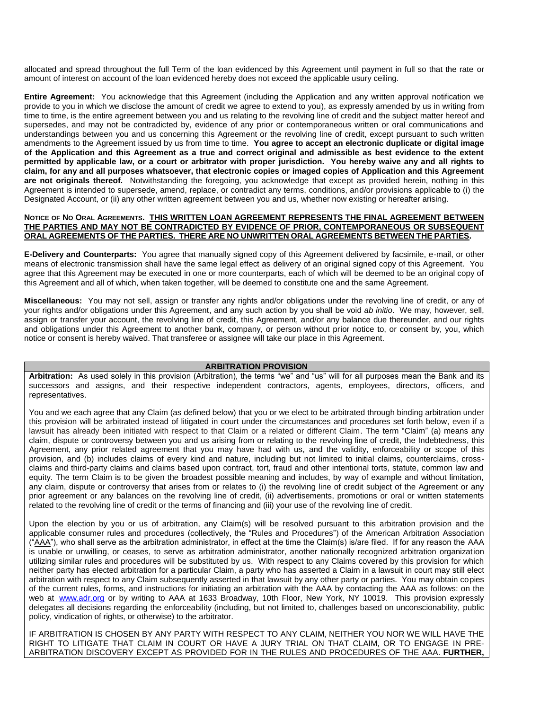allocated and spread throughout the full Term of the loan evidenced by this Agreement until payment in full so that the rate or amount of interest on account of the loan evidenced hereby does not exceed the applicable usury ceiling.

**Entire Agreement:** You acknowledge that this Agreement (including the Application and any written approval notification we provide to you in which we disclose the amount of credit we agree to extend to you), as expressly amended by us in writing from time to time, is the entire agreement between you and us relating to the revolving line of credit and the subject matter hereof and supersedes, and may not be contradicted by, evidence of any prior or contemporaneous written or oral communications and understandings between you and us concerning this Agreement or the revolving line of credit, except pursuant to such written amendments to the Agreement issued by us from time to time. **You agree to accept an electronic duplicate or digital image of the Application and this Agreement as a true and correct original and admissible as best evidence to the extent permitted by applicable law, or a court or arbitrator with proper jurisdiction. You hereby waive any and all rights to claim, for any and all purposes whatsoever, that electronic copies or imaged copies of Application and this Agreement are not originals thereof.** Notwithstanding the foregoing, you acknowledge that except as provided herein, nothing in this Agreement is intended to supersede, amend, replace, or contradict any terms, conditions, and/or provisions applicable to (i) the Designated Account, or (ii) any other written agreement between you and us, whether now existing or hereafter arising.

#### NOTICE OF NO ORAL AGREEMENTS. THIS WRITTEN LOAN AGREEMENT REPRESENTS THE FINAL AGREEMENT BETWEEN **THE PARTIES AND MAY NOT BE CONTRADICTED BY EVIDENCE OF PRIOR, CONTEMPORANEOUS OR SUBSEQUENT ORAL AGREEMENTS OF THE PARTIES. THERE ARE NO UNWRITTEN ORAL AGREEMENTS BETWEEN THE PARTIES.**

**E-Delivery and Counterparts:** You agree that manually signed copy of this Agreement delivered by facsimile, e-mail, or other means of electronic transmission shall have the same legal effect as delivery of an original signed copy of this Agreement. You agree that this Agreement may be executed in one or more counterparts, each of which will be deemed to be an original copy of this Agreement and all of which, when taken together, will be deemed to constitute one and the same Agreement.

**Miscellaneous:** You may not sell, assign or transfer any rights and/or obligations under the revolving line of credit, or any of your rights and/or obligations under this Agreement, and any such action by you shall be void *ab initio*. We may, however, sell, assign or transfer your account, the revolving line of credit, this Agreement, and/or any balance due thereunder, and our rights and obligations under this Agreement to another bank, company, or person without prior notice to, or consent by, you, which notice or consent is hereby waived. That transferee or assignee will take our place in this Agreement.

## **ARBITRATION PROVISION**

**Arbitration:** As used solely in this provision (Arbitration), the terms "we" and "us" will for all purposes mean the Bank and its successors and assigns, and their respective independent contractors, agents, employees, directors, officers, and representatives.

You and we each agree that any Claim (as defined below) that you or we elect to be arbitrated through binding arbitration under this provision will be arbitrated instead of litigated in court under the circumstances and procedures set forth below, even if a lawsuit has already been initiated with respect to that Claim or a related or different Claim. The term "Claim" (a) means any claim, dispute or controversy between you and us arising from or relating to the revolving line of credit, the Indebtedness, this Agreement, any prior related agreement that you may have had with us, and the validity, enforceability or scope of this provision, and (b) includes claims of every kind and nature, including but not limited to initial claims, counterclaims, crossclaims and third-party claims and claims based upon contract, tort, fraud and other intentional torts, statute, common law and equity. The term Claim is to be given the broadest possible meaning and includes, by way of example and without limitation, any claim, dispute or controversy that arises from or relates to (i) the revolving line of credit subject of the Agreement or any prior agreement or any balances on the revolving line of credit, (ii) advertisements, promotions or oral or written statements related to the revolving line of credit or the terms of financing and (iii) your use of the revolving line of credit.

Upon the election by you or us of arbitration, any Claim(s) will be resolved pursuant to this arbitration provision and the applicable consumer rules and procedures (collectively, the "Rules and Procedures") of the American Arbitration Association ("AAA"), who shall serve as the arbitration administrator, in effect at the time the Claim(s) is/are filed. If for any reason the AAA is unable or unwilling, or ceases, to serve as arbitration administrator, another nationally recognized arbitration organization utilizing similar rules and procedures will be substituted by us. With respect to any Claims covered by this provision for which neither party has elected arbitration for a particular Claim, a party who has asserted a Claim in a lawsuit in court may still elect arbitration with respect to any Claim subsequently asserted in that lawsuit by any other party or parties. You may obtain copies of the current rules, forms, and instructions for initiating an arbitration with the AAA by contacting the AAA as follows: on the web at www.adr.org or by writing to AAA at 1633 Broadway, 10th Floor, New York, NY 10019. This provision expressly delegates all decisions regarding the enforceability (including, but not limited to, challenges based on unconscionability, public policy, vindication of rights, or otherwise) to the arbitrator.

IF ARBITRATION IS CHOSEN BY ANY PARTY WITH RESPECT TO ANY CLAIM, NEITHER YOU NOR WE WILL HAVE THE RIGHT TO LITIGATE THAT CLAIM IN COURT OR HAVE A JURY TRIAL ON THAT CLAIM, OR TO ENGAGE IN PRE-ARBITRATION DISCOVERY EXCEPT AS PROVIDED FOR IN THE RULES AND PROCEDURES OF THE AAA. **FURTHER,**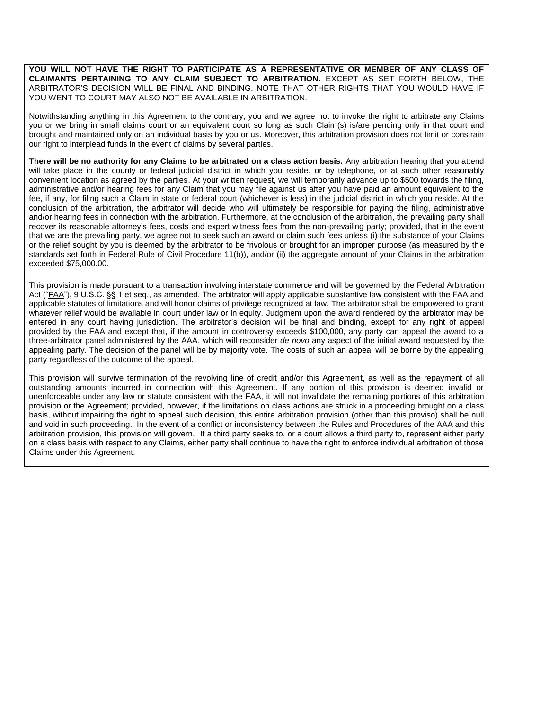**YOU WILL NOT HAVE THE RIGHT TO PARTICIPATE AS A REPRESENTATIVE OR MEMBER OF ANY CLASS OF CLAIMANTS PERTAINING TO ANY CLAIM SUBJECT TO ARBITRATION.** EXCEPT AS SET FORTH BELOW, THE ARBITRATOR'S DECISION WILL BE FINAL AND BINDING. NOTE THAT OTHER RIGHTS THAT YOU WOULD HAVE IF YOU WENT TO COURT MAY ALSO NOT BE AVAILABLE IN ARBITRATION.

Notwithstanding anything in this Agreement to the contrary, you and we agree not to invoke the right to arbitrate any Claims you or we bring in small claims court or an equivalent court so long as such Claim(s) is/are pending only in that court and brought and maintained only on an individual basis by you or us. Moreover, this arbitration provision does not limit or constrain our right to interplead funds in the event of claims by several parties.

**There will be no authority for any Claims to be arbitrated on a class action basis.** Any arbitration hearing that you attend will take place in the county or federal judicial district in which you reside, or by telephone, or at such other reasonably convenient location as agreed by the parties. At your written request, we will temporarily advance up to \$500 towards the filing, administrative and/or hearing fees for any Claim that you may file against us after you have paid an amount equivalent to the fee, if any, for filing such a Claim in state or federal court (whichever is less) in the judicial district in which you reside. At the conclusion of the arbitration, the arbitrator will decide who will ultimately be responsible for paying the filing, administrative and/or hearing fees in connection with the arbitration. Furthermore, at the conclusion of the arbitration, the prevailing party shall recover its reasonable attorney's fees, costs and expert witness fees from the non-prevailing party; provided, that in the event that we are the prevailing party, we agree not to seek such an award or claim such fees unless (i) the substance of your Claims or the relief sought by you is deemed by the arbitrator to be frivolous or brought for an improper purpose (as measured by the standards set forth in Federal Rule of Civil Procedure 11(b)), and/or (ii) the aggregate amount of your Claims in the arbitration exceeded \$75,000.00.

This provision is made pursuant to a transaction involving interstate commerce and will be governed by the Federal Arbitration Act ("FAA"), 9 U.S.C. §§ 1 et seq., as amended. The arbitrator will apply applicable substantive law consistent with the FAA and applicable statutes of limitations and will honor claims of privilege recognized at law. The arbitrator shall be empowered to grant whatever relief would be available in court under law or in equity. Judgment upon the award rendered by the arbitrator may be entered in any court having jurisdiction. The arbitrator's decision will be final and binding, except for any right of appeal provided by the FAA and except that, if the amount in controversy exceeds \$100,000, any party can appeal the award to a three-arbitrator panel administered by the AAA, which will reconsider *de novo* any aspect of the initial award requested by the appealing party. The decision of the panel will be by majority vote. The costs of such an appeal will be borne by the appealing party regardless of the outcome of the appeal.

This provision will survive termination of the revolving line of credit and/or this Agreement, as well as the repayment of all outstanding amounts incurred in connection with this Agreement. If any portion of this provision is deemed invalid or unenforceable under any law or statute consistent with the FAA, it will not invalidate the remaining portions of this arbitration provision or the Agreement; provided, however, if the limitations on class actions are struck in a proceeding brought on a class basis, without impairing the right to appeal such decision, this entire arbitration provision (other than this proviso) shall be null and void in such proceeding. In the event of a conflict or inconsistency between the Rules and Procedures of the AAA and this arbitration provision, this provision will govern. If a third party seeks to, or a court allows a third party to, represent either party on a class basis with respect to any Claims, either party shall continue to have the right to enforce individual arbitration of those Claims under this Agreement.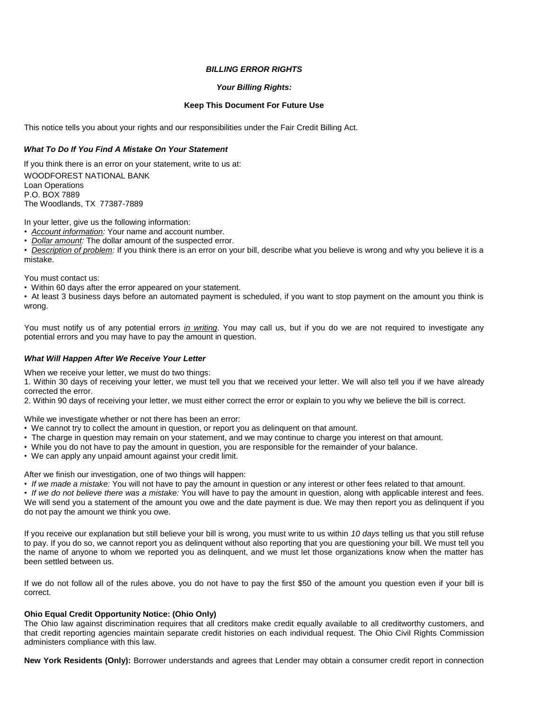## *BILLING ERROR RIGHTS*

## *Your Billing Rights:*

## **Keep This Document For Future Use**

This notice tells you about your rights and our responsibilities under the Fair Credit Billing Act.

## *What To Do If You Find A Mistake On Your Statement*

If you think there is an error on your statement, write to us at: WOODFOREST NATIONAL BANK Loan Operations P.O. BOX 7889 The Woodlands, TX 77387-7889

In your letter, give us the following information:

• *Account information:* Your name and account number.

• *Dollar amount:* The dollar amount of the suspected error.

• *Description of problem:* If you think there is an error on your bill, describe what you believe is wrong and why you believe it is a mistake.

You must contact us:

• Within 60 days after the error appeared on your statement.

• At least 3 business days before an automated payment is scheduled, if you want to stop payment on the amount you think is wrong.

You must notify us of any potential errors *in writing*. You may call us, but if you do we are not required to investigate any potential errors and you may have to pay the amount in question.

## *What Will Happen After We Receive Your Letter*

When we receive your letter, we must do two things:

1. Within 30 days of receiving your letter, we must tell you that we received your letter. We will also tell you if we have already corrected the error.

2. Within 90 days of receiving your letter, we must either correct the error or explain to you why we believe the bill is correct.

While we investigate whether or not there has been an error:

- We cannot try to collect the amount in question, or report you as delinquent on that amount.
- The charge in question may remain on your statement, and we may continue to charge you interest on that amount.
- While you do not have to pay the amount in question, you are responsible for the remainder of your balance.
- We can apply any unpaid amount against your credit limit.

After we finish our investigation, one of two things will happen:

• *If we made a mistake:* You will not have to pay the amount in question or any interest or other fees related to that amount.

• *If we do not believe there was a mistake:* You will have to pay the amount in question, along with applicable interest and fees. We will send you a statement of the amount you owe and the date payment is due. We may then report you as delinquent if you do not pay the amount we think you owe.

If you receive our explanation but still believe your bill is wrong, you must write to us within *10 days* telling us that you still refuse to pay. If you do so, we cannot report you as delinquent without also reporting that you are questioning your bill. We must tell you the name of anyone to whom we reported you as delinquent, and we must let those organizations know when the matter has been settled between us.

If we do not follow all of the rules above, you do not have to pay the first \$50 of the amount you question even if your bill is correct.

## **Ohio Equal Credit Opportunity Notice: (Ohio Only)**

The Ohio law against discrimination requires that all creditors make credit equally available to all creditworthy customers, and that credit reporting agencies maintain separate credit histories on each individual request. The Ohio Civil Rights Commission administers compliance with this law.

**New York Residents (Only):** Borrower understands and agrees that Lender may obtain a consumer credit report in connection